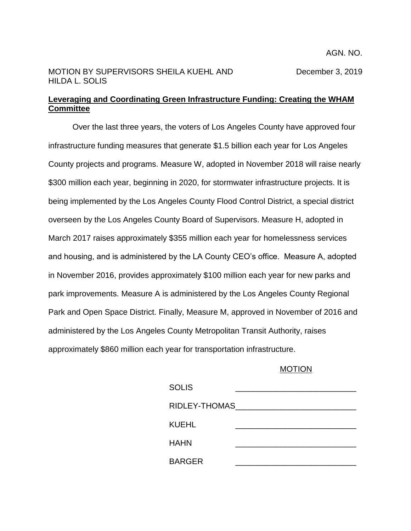## MOTION BY SUPERVISORS SHEILA KUEHL AND December 3, 2019 HILDA L. SOLIS

## **Leveraging and Coordinating Green Infrastructure Funding: Creating the WHAM Committee**

Over the last three years, the voters of Los Angeles County have approved four infrastructure funding measures that generate \$1.5 billion each year for Los Angeles County projects and programs. Measure W, adopted in November 2018 will raise nearly \$300 million each year, beginning in 2020, for stormwater infrastructure projects. It is being implemented by the Los Angeles County Flood Control District, a special district overseen by the Los Angeles County Board of Supervisors. Measure H, adopted in March 2017 raises approximately \$355 million each year for homelessness services and housing, and is administered by the LA County CEO's office. Measure A, adopted in November 2016, provides approximately \$100 million each year for new parks and park improvements. Measure A is administered by the Los Angeles County Regional Park and Open Space District. Finally, Measure M, approved in November of 2016 and administered by the Los Angeles County Metropolitan Transit Authority, raises approximately \$860 million each year for transportation infrastructure.

## MOTION

| <b>SOLIS</b>  |  |
|---------------|--|
| RIDLEY-THOMAS |  |
| KUEHL         |  |
| <b>HAHN</b>   |  |
| <b>BARGER</b> |  |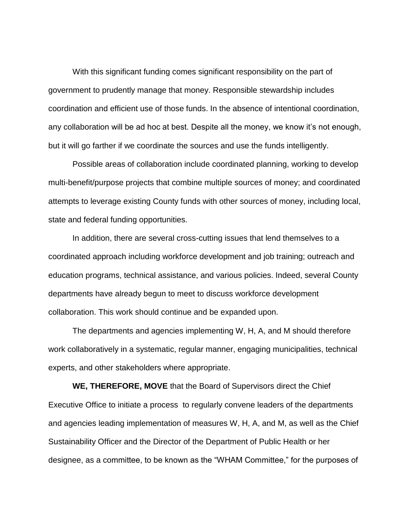With this significant funding comes significant responsibility on the part of government to prudently manage that money. Responsible stewardship includes coordination and efficient use of those funds. In the absence of intentional coordination, any collaboration will be ad hoc at best. Despite all the money, we know it's not enough, but it will go farther if we coordinate the sources and use the funds intelligently.

Possible areas of collaboration include coordinated planning, working to develop multi-benefit/purpose projects that combine multiple sources of money; and coordinated attempts to leverage existing County funds with other sources of money, including local, state and federal funding opportunities.

In addition, there are several cross-cutting issues that lend themselves to a coordinated approach including workforce development and job training; outreach and education programs, technical assistance, and various policies. Indeed, several County departments have already begun to meet to discuss workforce development collaboration. This work should continue and be expanded upon.

The departments and agencies implementing W, H, A, and M should therefore work collaboratively in a systematic, regular manner, engaging municipalities, technical experts, and other stakeholders where appropriate.

**WE, THEREFORE, MOVE** that the Board of Supervisors direct the Chief Executive Office to initiate a process to regularly convene leaders of the departments and agencies leading implementation of measures W, H, A, and M, as well as the Chief Sustainability Officer and the Director of the Department of Public Health or her designee, as a committee, to be known as the "WHAM Committee," for the purposes of